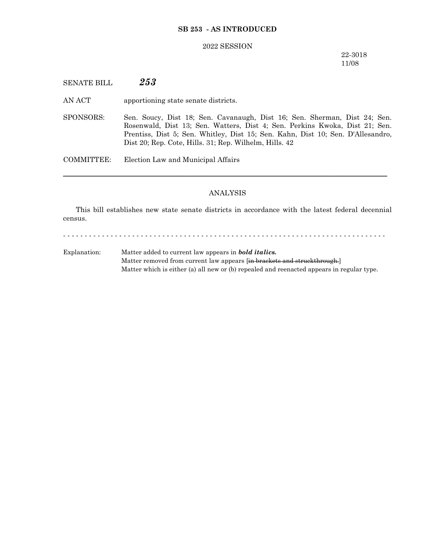## **SB 253 - AS INTRODUCED**

#### 2022 SESSION

22-3018 11/08

SENATE BILL *253*

AN ACT apportioning state senate districts.

SPONSORS: Sen. Soucy, Dist 18; Sen. Cavanaugh, Dist 16; Sen. Sherman, Dist 24; Sen. Rosenwald, Dist 13; Sen. Watters, Dist 4; Sen. Perkins Kwoka, Dist 21; Sen. Prentiss, Dist 5; Sen. Whitley, Dist 15; Sen. Kahn, Dist 10; Sen. D'Allesandro, Dist 20; Rep. Cote, Hills. 31; Rep. Wilhelm, Hills. 42

COMMITTEE: Election Law and Municipal Affairs

### ANALYSIS

─────────────────────────────────────────────────────────────────

This bill establishes new state senate districts in accordance with the latest federal decennial census.

- - - - - - - - - - - - - - - - - - - - - - - - - - - - - - - - - - - - - - - - - - - - - - - - - - - - - - - - - - - - - - - - - - - - - - - - - - -

Explanation: Matter added to current law appears in *bold italics.* Matter removed from current law appears [in brackets and struckthrough.] Matter which is either (a) all new or (b) repealed and reenacted appears in regular type.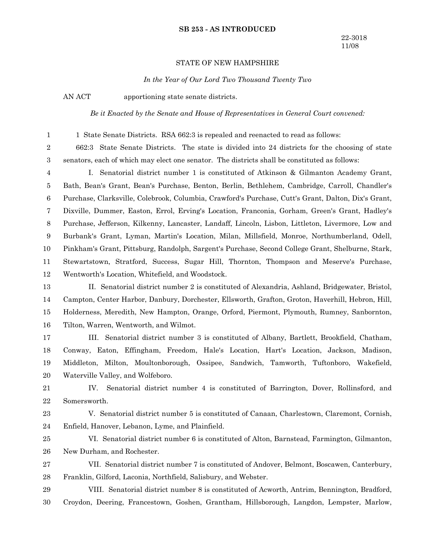#### **SB 253 - AS INTRODUCED**

### STATE OF NEW HAMPSHIRE

*In the Year of Our Lord Two Thousand Twenty Two*

1

AN ACT apportioning state senate districts.

*Be it Enacted by the Senate and House of Representatives in General Court convened:*

1 State Senate Districts. RSA 662:3 is repealed and reenacted to read as follows:

662:3 State Senate Districts. The state is divided into 24 districts for the choosing of state senators, each of which may elect one senator. The districts shall be constituted as follows: 2 3

I. Senatorial district number 1 is constituted of Atkinson & Gilmanton Academy Grant, Bath, Bean's Grant, Bean's Purchase, Benton, Berlin, Bethlehem, Cambridge, Carroll, Chandler's Purchase, Clarksville, Colebrook, Columbia, Crawford's Purchase, Cutt's Grant, Dalton, Dix's Grant, Dixville, Dummer, Easton, Errol, Erving's Location, Franconia, Gorham, Green's Grant, Hadley's Purchase, Jefferson, Kilkenny, Lancaster, Landaff, Lincoln, Lisbon, Littleton, Livermore, Low and Burbank's Grant, Lyman, Martin's Location, Milan, Millsfield, Monroe, Northumberland, Odell, Pinkham's Grant, Pittsburg, Randolph, Sargent's Purchase, Second College Grant, Shelburne, Stark, Stewartstown, Stratford, Success, Sugar Hill, Thornton, Thompson and Meserve's Purchase, Wentworth's Location, Whitefield, and Woodstock. 4 5 6 7 8 9 10 11 12

II. Senatorial district number 2 is constituted of Alexandria, Ashland, Bridgewater, Bristol, Campton, Center Harbor, Danbury, Dorchester, Ellsworth, Grafton, Groton, Haverhill, Hebron, Hill, Holderness, Meredith, New Hampton, Orange, Orford, Piermont, Plymouth, Rumney, Sanbornton, Tilton, Warren, Wentworth, and Wilmot. 13 14 15 16

III. Senatorial district number 3 is constituted of Albany, Bartlett, Brookfield, Chatham, Conway, Eaton, Effingham, Freedom, Hale's Location, Hart's Location, Jackson, Madison, Middleton, Milton, Moultonborough, Ossipee, Sandwich, Tamworth, Tuftonboro, Wakefield, Waterville Valley, and Wolfeboro. 17 18 19 20

IV. Senatorial district number 4 is constituted of Barrington, Dover, Rollinsford, and Somersworth. 21 22

V. Senatorial district number 5 is constituted of Canaan, Charlestown, Claremont, Cornish, Enfield, Hanover, Lebanon, Lyme, and Plainfield. 23 24

VI. Senatorial district number 6 is constituted of Alton, Barnstead, Farmington, Gilmanton, New Durham, and Rochester. 25 26

VII. Senatorial district number 7 is constituted of Andover, Belmont, Boscawen, Canterbury, Franklin, Gilford, Laconia, Northfield, Salisbury, and Webster. 27 28

VIII. Senatorial district number 8 is constituted of Acworth, Antrim, Bennington, Bradford, Croydon, Deering, Francestown, Goshen, Grantham, Hillsborough, Langdon, Lempster, Marlow, 29 30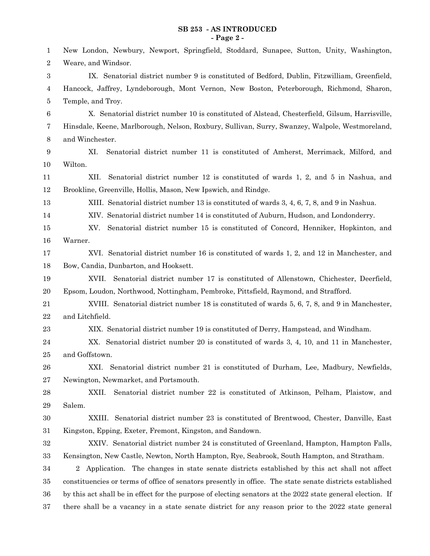### **SB 253 - AS INTRODUCED - Page 2 -**

| 1                | New London, Newbury, Newport, Springfield, Stoddard, Sunapee, Sutton, Unity, Washington,                   |
|------------------|------------------------------------------------------------------------------------------------------------|
| $\overline{2}$   | Weare, and Windsor.                                                                                        |
| $\boldsymbol{3}$ | IX. Senatorial district number 9 is constituted of Bedford, Dublin, Fitzwilliam, Greenfield,               |
| 4                | Hancock, Jaffrey, Lyndeborough, Mont Vernon, New Boston, Peterborough, Richmond, Sharon,                   |
| 5                | Temple, and Troy.                                                                                          |
| 6                | X. Senatorial district number 10 is constituted of Alstead, Chesterfield, Gilsum, Harrisville,             |
| 7                | Hinsdale, Keene, Marlborough, Nelson, Roxbury, Sullivan, Surry, Swanzey, Walpole, Westmoreland,            |
| $8\phantom{1}$   | and Winchester.                                                                                            |
| 9                | XI.<br>Senatorial district number 11 is constituted of Amherst, Merrimack, Milford, and                    |
| 10               | Wilton.                                                                                                    |
| 11               | XII.<br>Senatorial district number 12 is constituted of wards 1, 2, and 5 in Nashua, and                   |
| 12               | Brookline, Greenville, Hollis, Mason, New Ipswich, and Rindge.                                             |
| 13               | XIII. Senatorial district number 13 is constituted of wards 3, 4, 6, 7, 8, and 9 in Nashua.                |
| 14               | XIV. Senatorial district number 14 is constituted of Auburn, Hudson, and Londonderry.                      |
| 15               | Senatorial district number 15 is constituted of Concord, Henniker, Hopkinton, and<br>XV.                   |
| 16               | Warner.                                                                                                    |
| 17               | XVI. Senatorial district number 16 is constituted of wards 1, 2, and 12 in Manchester, and                 |
| 18               | Bow, Candia, Dunbarton, and Hooksett.                                                                      |
| 19               | Senatorial district number 17 is constituted of Allenstown, Chichester, Deerfield,<br>XVII.                |
| 20               | Epsom, Loudon, Northwood, Nottingham, Pembroke, Pittsfield, Raymond, and Strafford.                        |
| 21               | XVIII. Senatorial district number 18 is constituted of wards 5, 6, 7, 8, and 9 in Manchester,              |
| 22               | and Litchfield.                                                                                            |
| 23               | XIX. Senatorial district number 19 is constituted of Derry, Hampstead, and Windham.                        |
| 24               | Senatorial district number 20 is constituted of wards 3, 4, 10, and 11 in Manchester,<br>XX.               |
| 25               | and Goffstown.                                                                                             |
| 26               | Senatorial district number 21 is constituted of Durham, Lee, Madbury, Newfields,<br>XXI.                   |
| 27               | Newington, Newmarket, and Portsmouth.                                                                      |
| 28               | Senatorial district number 22 is constituted of Atkinson, Pelham, Plaistow, and<br>XXII.                   |
| 29               | Salem.                                                                                                     |
| 30               | Senatorial district number 23 is constituted of Brentwood, Chester, Danville, East<br>XXIII.               |
| $31\,$           | Kingston, Epping, Exeter, Fremont, Kingston, and Sandown.                                                  |
| $32\,$           | XXIV. Senatorial district number 24 is constituted of Greenland, Hampton, Hampton Falls,                   |
| 33               | Kensington, New Castle, Newton, North Hampton, Rye, Seabrook, South Hampton, and Stratham.                 |
| 34               | 2 Application. The changes in state senate districts established by this act shall not affect              |
| $35\,$           | constituencies or terms of office of senators presently in office. The state senate districts established  |
| 36               | by this act shall be in effect for the purpose of electing senators at the 2022 state general election. If |
| 37               | there shall be a vacancy in a state senate district for any reason prior to the 2022 state general         |